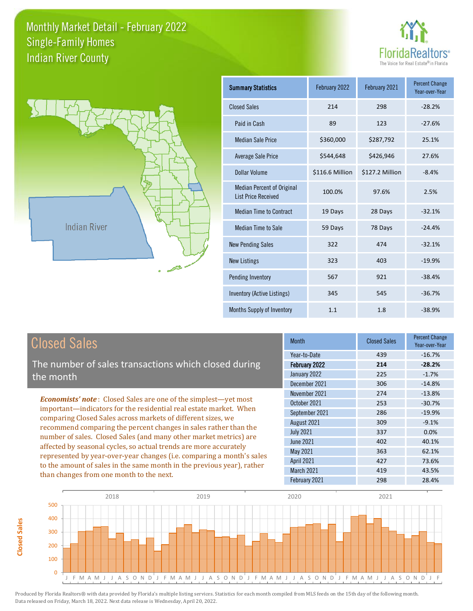



| <b>Summary Statistics</b>                                       | February 2022   | February 2021   | <b>Percent Change</b><br>Year-over-Year |
|-----------------------------------------------------------------|-----------------|-----------------|-----------------------------------------|
| <b>Closed Sales</b>                                             | 214             | 298             | $-28.2%$                                |
| Paid in Cash                                                    | 89              | 123             | $-27.6%$                                |
| <b>Median Sale Price</b>                                        | \$360,000       | \$287,792       | 25.1%                                   |
| <b>Average Sale Price</b>                                       | \$544,648       | \$426,946       | 27.6%                                   |
| <b>Dollar Volume</b>                                            | \$116.6 Million | \$127.2 Million | $-8.4%$                                 |
| <b>Median Percent of Original</b><br><b>List Price Received</b> | 100.0%          | 97.6%           | 2.5%                                    |
| <b>Median Time to Contract</b>                                  | 19 Days         | 28 Days         | $-32.1%$                                |
| <b>Median Time to Sale</b>                                      | 59 Days         | 78 Days         | $-24.4%$                                |
| <b>New Pending Sales</b>                                        | 322             | 474             | $-32.1%$                                |
| <b>New Listings</b>                                             | 323             | 403             | $-19.9%$                                |
| Pending Inventory                                               | 567             | 921             | $-38.4%$                                |
| Inventory (Active Listings)                                     | 345             | 545             | $-36.7%$                                |
| <b>Months Supply of Inventory</b>                               | 1.1             | 1.8             | $-38.9%$                                |

# Closed Sales

**Closed Sales**

**Closed Sales** 

The number of sales transactions which closed during the month

*Economists' note* : Closed Sales are one of the simplest—yet most important—indicators for the residential real estate market. When comparing Closed Sales across markets of different sizes, we recommend comparing the percent changes in sales rather than the number of sales. Closed Sales (and many other market metrics) are affected by seasonal cycles, so actual trends are more accurately represented by year-over-year changes (i.e. comparing a month's sales to the amount of sales in the same month in the previous year), rather than changes from one month to the next.

| <b>Month</b>      | <b>Closed Sales</b> | <b>Percent Change</b><br>Year-over-Year |
|-------------------|---------------------|-----------------------------------------|
| Year-to-Date      | 439                 | $-16.7%$                                |
| February 2022     | 214                 | $-28.2%$                                |
| January 2022      | 225                 | $-1.7%$                                 |
| December 2021     | 306                 | $-14.8%$                                |
| November 2021     | 274                 | $-13.8%$                                |
| October 2021      | 253                 | $-30.7%$                                |
| September 2021    | 286                 | $-19.9%$                                |
| August 2021       | 309                 | $-9.1%$                                 |
| <b>July 2021</b>  | 337                 | 0.0%                                    |
| June 2021         | 402                 | 40.1%                                   |
| May 2021          | 363                 | 62.1%                                   |
| <b>April 2021</b> | 427                 | 73.6%                                   |
| March 2021        | 419                 | 43.5%                                   |
| February 2021     | 298                 | 28.4%                                   |
|                   |                     |                                         |

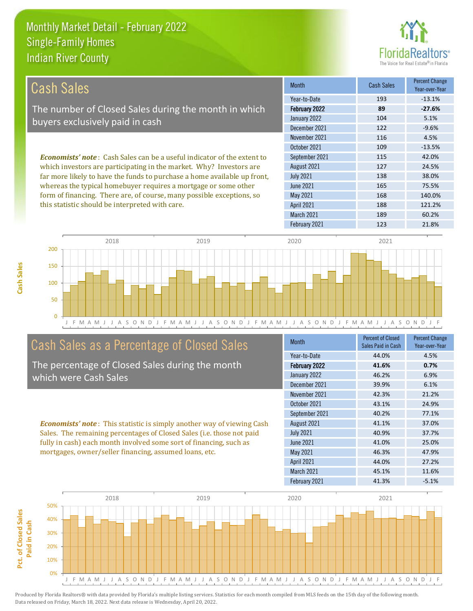

| <b>Cash Sales</b>                                                              | <b>Month</b>      | <b>Cash Sales</b> | <b>Percent Change</b><br>Year-over-Year |
|--------------------------------------------------------------------------------|-------------------|-------------------|-----------------------------------------|
|                                                                                | Year-to-Date      | 193               | $-13.1%$                                |
| The number of Closed Sales during the month in which                           | February 2022     | 89                | $-27.6%$                                |
| buyers exclusively paid in cash                                                | January 2022      | 104               | 5.1%                                    |
|                                                                                | December 2021     | 122               | $-9.6%$                                 |
|                                                                                | November 2021     | 116               | 4.5%                                    |
|                                                                                | October 2021      | 109               | $-13.5%$                                |
| <b>Economists' note:</b> Cash Sales can be a useful indicator of the extent to | September 2021    | 115               | 42.0%                                   |
| which investors are participating in the market. Why? Investors are            | August 2021       | 127               | 24.5%                                   |
| far more likely to have the funds to purchase a home available up front,       | <b>July 2021</b>  | 138               | 38.0%                                   |
| whereas the typical homebuyer requires a mortgage or some other                | June 2021         | 165               | 75.5%                                   |
| form of financing. There are, of course, many possible exceptions, so          | May 2021          | 168               | 140.0%                                  |
| this statistic should be interpreted with care.                                | <b>April 2021</b> | 188               | 121.2%                                  |
|                                                                                | March 2021        | 189               | 60.2%                                   |



# Cash Sales as a Percentage of Closed Sales

The percentage of Closed Sales during the month which were Cash Sales

*Economists' note* : This statistic is simply another way of viewing Cash Sales. The remaining percentages of Closed Sales (i.e. those not paid fully in cash) each month involved some sort of financing, such as mortgages, owner/seller financing, assumed loans, etc.

| <b>Month</b>         | <b>Percent of Closed</b><br>Sales Paid in Cash | <b>Percent Change</b><br>Year-over-Year |
|----------------------|------------------------------------------------|-----------------------------------------|
| Year-to-Date         | 44.0%                                          | 4.5%                                    |
| <b>February 2022</b> | 41.6%                                          | 0.7%                                    |
| January 2022         | 46.2%                                          | 6.9%                                    |
| December 2021        | 39.9%                                          | 6.1%                                    |
| November 2021        | 42.3%                                          | 21.2%                                   |
| October 2021         | 43.1%                                          | 24.9%                                   |
| September 2021       | 40.2%                                          | 77.1%                                   |
| August 2021          | 41.1%                                          | 37.0%                                   |
| <b>July 2021</b>     | 40.9%                                          | 37.7%                                   |
| June 2021            | 41.0%                                          | 25.0%                                   |
| <b>May 2021</b>      | 46.3%                                          | 47.9%                                   |
| <b>April 2021</b>    | 44.0%                                          | 27.2%                                   |
| March 2021           | 45.1%                                          | 11.6%                                   |
| February 2021        | 41.3%                                          | $-5.1%$                                 |

February 2021 123 21.8%



**Cash Sales**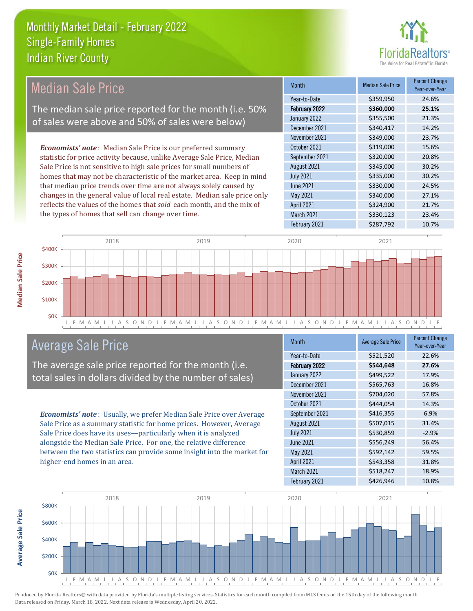

| <b>Median Sale Price</b>                                                  | <b>Month</b>      | <b>Median Sale Price</b> | <b>Percent Change</b><br>Year-over-Year |
|---------------------------------------------------------------------------|-------------------|--------------------------|-----------------------------------------|
|                                                                           | Year-to-Date      | \$359,950                | 24.6%                                   |
| The median sale price reported for the month (i.e. 50%                    | February 2022     | \$360,000                | 25.1%                                   |
| of sales were above and 50% of sales were below)                          | January 2022      | \$355,500                | 21.3%                                   |
|                                                                           | December 2021     | \$340,417                | 14.2%                                   |
|                                                                           | November 2021     | \$349,000                | 23.7%                                   |
| <b>Economists' note:</b> Median Sale Price is our preferred summary       | October 2021      | \$319,000                | 15.6%                                   |
| statistic for price activity because, unlike Average Sale Price, Median   | September 2021    | \$320,000                | 20.8%                                   |
| Sale Price is not sensitive to high sale prices for small numbers of      | August 2021       | \$345,000                | 30.2%                                   |
| homes that may not be characteristic of the market area. Keep in mind     | <b>July 2021</b>  | \$335,000                | 30.2%                                   |
| that median price trends over time are not always solely caused by        | June 2021         | \$330,000                | 24.5%                                   |
| changes in the general value of local real estate. Median sale price only | May 2021          | \$340,000                | 27.1%                                   |
| reflects the values of the homes that sold each month, and the mix of     | <b>April 2021</b> | \$324,900                | 21.7%                                   |
| the types of homes that sell can change over time.                        | <b>March 2021</b> | \$330,123                | 23.4%                                   |
|                                                                           | February 2021     | \$287,792                | 10.7%                                   |



# Average Sale Price

The average sale price reported for the month (i.e. total sales in dollars divided by the number of sales)

*Economists' note* : Usually, we prefer Median Sale Price over Average Sale Price as a summary statistic for home prices. However, Average Sale Price does have its uses—particularly when it is analyzed alongside the Median Sale Price. For one, the relative difference between the two statistics can provide some insight into the market for higher-end homes in an area.

| <b>Month</b>         | <b>Average Sale Price</b> | <b>Percent Change</b><br>Year-over-Year |
|----------------------|---------------------------|-----------------------------------------|
| Year-to-Date         | \$521,520                 | 22.6%                                   |
| <b>February 2022</b> | \$544,648                 | 27.6%                                   |
| January 2022         | \$499,522                 | 17.9%                                   |
| December 2021        | \$565,763                 | 16.8%                                   |
| November 2021        | \$704,020                 | 57.8%                                   |
| October 2021         | \$444,054                 | 14.3%                                   |
| September 2021       | \$416,355                 | 6.9%                                    |
| August 2021          | \$507,015                 | 31.4%                                   |
| <b>July 2021</b>     | \$530,859                 | $-2.9%$                                 |
| <b>June 2021</b>     | \$556,249                 | 56.4%                                   |
| May 2021             | \$592,142                 | 59.5%                                   |
| <b>April 2021</b>    | \$543,358                 | 31.8%                                   |
| March 2021           | \$518,247                 | 18.9%                                   |
| February 2021        | \$426,946                 | 10.8%                                   |



**Average Sale Price Average Sale Price**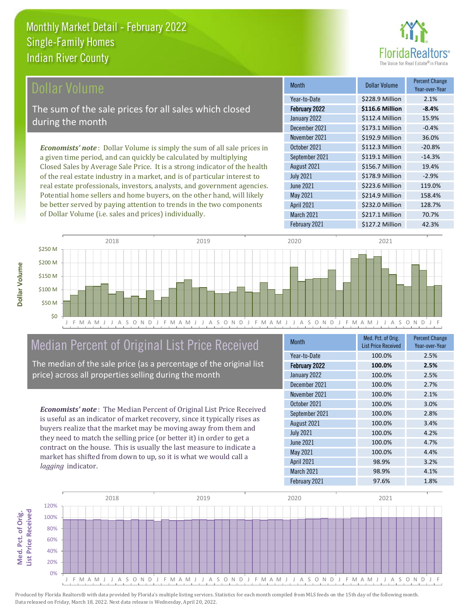# nrs<sup>®</sup>

\$232.0 Million 128.7%

March 2021 **\$217.1 Million** 70.7%

April 2021

February 2021 \$127.2 Million 42.3%

| Dollar Volume                                                                  | <b>Month</b>     | <b>Dollar Volume</b> | <b>Percent Change</b><br>Year-over-Year |
|--------------------------------------------------------------------------------|------------------|----------------------|-----------------------------------------|
|                                                                                | Year-to-Date     | \$228.9 Million      | 2.1%                                    |
| The sum of the sale prices for all sales which closed                          | February 2022    | \$116.6 Million      | $-8.4%$                                 |
| during the month                                                               | January 2022     | \$112.4 Million      | 15.9%                                   |
|                                                                                | December 2021    | \$173.1 Million      | $-0.4%$                                 |
|                                                                                | November 2021    | \$192.9 Million      | 36.0%                                   |
| <b>Economists' note:</b> Dollar Volume is simply the sum of all sale prices in | October 2021     | \$112.3 Million      | $-20.8%$                                |
| a given time period, and can quickly be calculated by multiplying              | September 2021   | \$119.1 Million      | $-14.3%$                                |
| Closed Sales by Average Sale Price. It is a strong indicator of the health     | August 2021      | \$156.7 Million      | 19.4%                                   |
| of the real estate industry in a market, and is of particular interest to      | <b>July 2021</b> | \$178.9 Million      | $-2.9%$                                 |
| real estate professionals, investors, analysts, and government agencies.       | <b>June 2021</b> | \$223.6 Million      | 119.0%                                  |
| Potential home sellers and home buyers, on the other hand, will likely         | May 2021         | \$214.9 Million      | 158.4%                                  |



# Median Percent of Original List Price Received

be better served by paying attention to trends in the two components

of Dollar Volume (i.e. sales and prices) individually.

The median of the sale price (as a percentage of the original list price) across all properties selling during the month

*Economists' note* : The Median Percent of Original List Price Received is useful as an indicator of market recovery, since it typically rises as buyers realize that the market may be moving away from them and they need to match the selling price (or better it) in order to get a contract on the house. This is usually the last measure to indicate a market has shifted from down to up, so it is what we would call a *lagging* indicator.

**Med. Pct. of Orig.** 

Med. Pct. of Orig.

**Dollar Volume**

Dollar Volume

| <b>Month</b>         | Med. Pct. of Orig.<br><b>List Price Received</b> | <b>Percent Change</b><br>Year-over-Year |
|----------------------|--------------------------------------------------|-----------------------------------------|
| Year-to-Date         | 100.0%                                           | 2.5%                                    |
| <b>February 2022</b> | 100.0%                                           | 2.5%                                    |
| January 2022         | 100.0%                                           | 2.5%                                    |
| December 2021        | 100.0%                                           | 2.7%                                    |
| November 2021        | 100.0%                                           | 2.1%                                    |
| October 2021         | 100.0%                                           | 3.0%                                    |
| September 2021       | 100.0%                                           | 2.8%                                    |
| August 2021          | 100.0%                                           | 3.4%                                    |
| <b>July 2021</b>     | 100.0%                                           | 4.2%                                    |
| <b>June 2021</b>     | 100.0%                                           | 4.7%                                    |
| May 2021             | 100.0%                                           | 4.4%                                    |
| <b>April 2021</b>    | 98.9%                                            | 3.2%                                    |
| March 2021           | 98.9%                                            | 4.1%                                    |
| February 2021        | 97.6%                                            | 1.8%                                    |

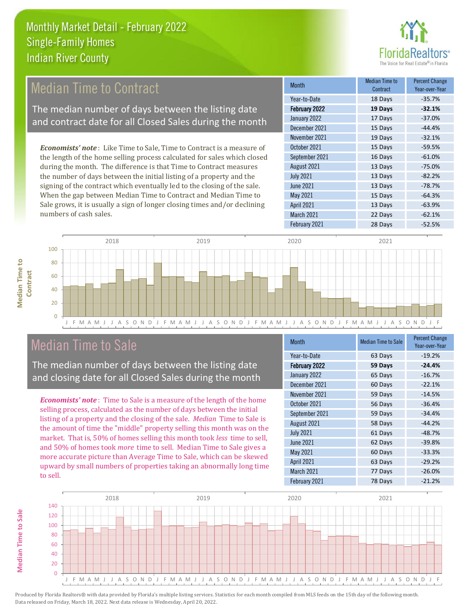

# Median Time to Contract

The median number of days between the listing date and contract date for all Closed Sales during the month

*Economists' note* : Like Time to Sale, Time to Contract is a measure of the length of the home selling process calculated for sales which closed during the month. The difference is that Time to Contract measures the number of days between the initial listing of a property and the signing of the contract which eventually led to the closing of the sale. When the gap between Median Time to Contract and Median Time to Sale grows, it is usually a sign of longer closing times and/or declining numbers of cash sales.

| <b>Month</b>      | Median Time to<br>Contract | <b>Percent Change</b><br>Year-over-Year |
|-------------------|----------------------------|-----------------------------------------|
| Year-to-Date      | 18 Days                    | $-35.7%$                                |
| February 2022     | 19 Days                    | $-32.1%$                                |
| January 2022      | 17 Days                    | $-37.0%$                                |
| December 2021     | 15 Days                    | $-44.4%$                                |
| November 2021     | 19 Days                    | $-32.1%$                                |
| October 2021      | 15 Days                    | $-59.5%$                                |
| September 2021    | 16 Days                    | $-61.0%$                                |
| August 2021       | 13 Days                    | $-75.0%$                                |
| <b>July 2021</b>  | 13 Days                    | $-82.2%$                                |
| <b>June 2021</b>  | 13 Days                    | $-78.7%$                                |
| May 2021          | 15 Days                    | $-64.3%$                                |
| <b>April 2021</b> | 13 Days                    | $-63.9%$                                |
| March 2021        | 22 Days                    | $-62.1%$                                |
| February 2021     | 28 Days                    | $-52.5%$                                |



# Median Time to Sale

The median number of days between the listing date and closing date for all Closed Sales during the month

*Economists' note* : Time to Sale is a measure of the length of the home selling process, calculated as the number of days between the initial listing of a property and the closing of the sale. *Median* Time to Sale is the amount of time the "middle" property selling this month was on the market. That is, 50% of homes selling this month took *less* time to sell, and 50% of homes took *more* time to sell. Median Time to Sale gives a more accurate picture than Average Time to Sale, which can be skewed upward by small numbers of properties taking an abnormally long time to sell.

| <b>Month</b>      | <b>Median Time to Sale</b> | <b>Percent Change</b><br>Year-over-Year |
|-------------------|----------------------------|-----------------------------------------|
| Year-to-Date      | 63 Days                    | $-19.2%$                                |
| February 2022     | 59 Days                    | $-24.4%$                                |
| January 2022      | 65 Days                    | $-16.7%$                                |
| December 2021     | 60 Days                    | $-22.1%$                                |
| November 2021     | 59 Days                    | $-14.5%$                                |
| October 2021      | 56 Days                    | $-36.4%$                                |
| September 2021    | 59 Days                    | $-34.4%$                                |
| August 2021       | 58 Days                    | $-44.2%$                                |
| <b>July 2021</b>  | 61 Days                    | $-48.7%$                                |
| <b>June 2021</b>  | 62 Days                    | $-39.8%$                                |
| May 2021          | 60 Days                    | $-33.3%$                                |
| <b>April 2021</b> | 63 Days                    | $-29.2%$                                |
| March 2021        | 77 Days                    | $-26.0%$                                |
| February 2021     | 78 Days                    | $-21.2%$                                |



**Median Time to** 

**Median Time to**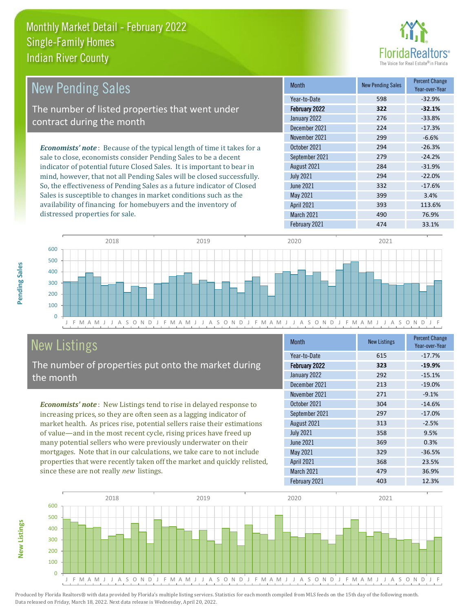

| <b>New Pending Sales</b>                                                      | <b>Month</b>      | <b>New Pending Sales</b> | <b>Percent Change</b><br>Year-over-Year |
|-------------------------------------------------------------------------------|-------------------|--------------------------|-----------------------------------------|
|                                                                               | Year-to-Date      | 598                      | $-32.9%$                                |
| The number of listed properties that went under                               | February 2022     | 322                      | $-32.1%$                                |
| contract during the month                                                     | January 2022      | 276                      | $-33.8%$                                |
|                                                                               | December 2021     | 224                      | $-17.3%$                                |
|                                                                               | November 2021     | 299                      | $-6.6%$                                 |
| <b>Economists' note:</b> Because of the typical length of time it takes for a | October 2021      | 294                      | $-26.3%$                                |
| sale to close, economists consider Pending Sales to be a decent               | September 2021    | 279                      | $-24.2%$                                |
| indicator of potential future Closed Sales. It is important to bear in        | August 2021       | 284                      | $-31.9%$                                |
| mind, however, that not all Pending Sales will be closed successfully.        | <b>July 2021</b>  | 294                      | $-22.0%$                                |
| So, the effectiveness of Pending Sales as a future indicator of Closed        | <b>June 2021</b>  | 332                      | $-17.6%$                                |
| Sales is susceptible to changes in market conditions such as the              | May 2021          | 399                      | 3.4%                                    |
| availability of financing for homebuyers and the inventory of                 | <b>April 2021</b> | 393                      | 113.6%                                  |
| distressed properties for sale.                                               | March 2021        | 490                      | 76.9%                                   |



# New Listings

The number of properties put onto the market during the month

*Economists' note* : New Listings tend to rise in delayed response to increasing prices, so they are often seen as a lagging indicator of market health. As prices rise, potential sellers raise their estimations of value—and in the most recent cycle, rising prices have freed up many potential sellers who were previously underwater on their mortgages. Note that in our calculations, we take care to not include properties that were recently taken off the market and quickly relisted, since these are not really *new* listings.

Data released on Friday, March 18, 2022. Next data release is Wednesday, April 20, 2022.

| <b>Month</b>      | <b>New Listings</b> | <b>Percent Change</b><br>Year-over-Year |
|-------------------|---------------------|-----------------------------------------|
| Year-to-Date      | 615                 | $-17.7%$                                |
| February 2022     | 323                 | $-19.9%$                                |
| January 2022      | 292                 | $-15.1%$                                |
| December 2021     | 213                 | $-19.0%$                                |
| November 2021     | 271                 | $-9.1%$                                 |
| October 2021      | 304                 | $-14.6%$                                |
| September 2021    | 297                 | $-17.0%$                                |
| August 2021       | 313                 | $-2.5%$                                 |
| <b>July 2021</b>  | 358                 | 9.5%                                    |
| <b>June 2021</b>  | 369                 | 0.3%                                    |
| May 2021          | 329                 | $-36.5%$                                |
| <b>April 2021</b> | 368                 | 23.5%                                   |
| March 2021        | 479                 | 36.9%                                   |
| February 2021     | 403                 | 12.3%                                   |



Produced by Florida Realtors® with data provided by Florida's multiple listing services. Statistics for each month compiled from MLS feeds on the 15th day of the following month.

**New Listings**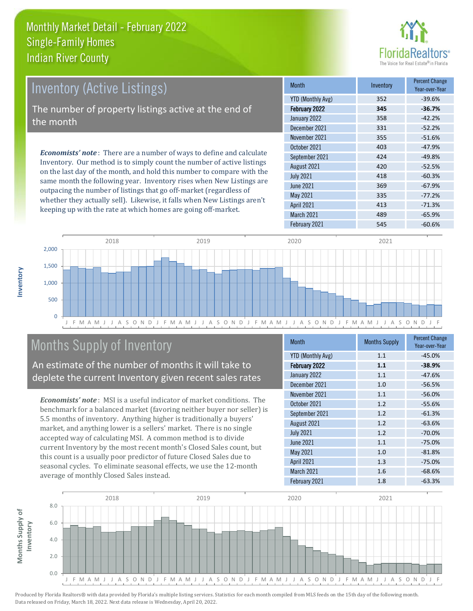

| Inventory (Active Listings)                                                                                                                                                                                                                                                                  | <b>Month</b>      | Inventory | <b>Percent Change</b><br>Year-over-Year |
|----------------------------------------------------------------------------------------------------------------------------------------------------------------------------------------------------------------------------------------------------------------------------------------------|-------------------|-----------|-----------------------------------------|
|                                                                                                                                                                                                                                                                                              | YTD (Monthly Avg) | 352       | $-39.6%$                                |
| The number of property listings active at the end of                                                                                                                                                                                                                                         | February 2022     | 345       | $-36.7%$                                |
| the month                                                                                                                                                                                                                                                                                    | January 2022      | 358       | $-42.2%$                                |
|                                                                                                                                                                                                                                                                                              | December 2021     | 331       | $-52.2%$                                |
|                                                                                                                                                                                                                                                                                              | November 2021     | 355       | $-51.6%$                                |
| <b>Economists' note:</b> There are a number of ways to define and calculate<br>Inventory. Our method is to simply count the number of active listings<br>$\mathbf{a}$ , and $\mathbf{a}$ , and $\mathbf{a}$ , and $\mathbf{a}$ , and $\mathbf{a}$ , and $\mathbf{a}$ , and $\mathbf{a}$<br>. | October 2021      | 403       | $-47.9%$                                |
|                                                                                                                                                                                                                                                                                              | September 2021    | 424       | $-49.8%$                                |
|                                                                                                                                                                                                                                                                                              | August 2021       | 420       | $-52.5%$                                |

on the last day of the month, and hold this number to compare with the same month the following year. Inventory rises when New Listings are outpacing the number of listings that go off-market (regardless of whether they actually sell). Likewise, it falls when New Listings aren't keeping up with the rate at which homes are going off-market.

| ічшін                    | <b>ILIVELILUI V</b> | Year-over-Year |
|--------------------------|---------------------|----------------|
| <b>YTD (Monthly Avg)</b> | 352                 | $-39.6%$       |
| February 2022            | 345                 | $-36.7%$       |
| January 2022             | 358                 | $-42.2%$       |
| December 2021            | 331                 | $-52.2%$       |
| November 2021            | 355                 | $-51.6%$       |
| October 2021             | 403                 | $-47.9%$       |
| September 2021           | 424                 | $-49.8%$       |
| August 2021              | 420                 | $-52.5%$       |
| <b>July 2021</b>         | 418                 | $-60.3%$       |
| June 2021                | 369                 | $-67.9%$       |
| May 2021                 | 335                 | $-77.2%$       |
| <b>April 2021</b>        | 413                 | $-71.3%$       |
| March 2021               | 489                 | $-65.9%$       |
| February 2021            | 545                 | $-60.6%$       |



# Months Supply of Inventory

An estimate of the number of months it will take to deplete the current Inventory given recent sales rates

*Economists' note* : MSI is a useful indicator of market conditions. The benchmark for a balanced market (favoring neither buyer nor seller) is 5.5 months of inventory. Anything higher is traditionally a buyers' market, and anything lower is a sellers' market. There is no single accepted way of calculating MSI. A common method is to divide current Inventory by the most recent month's Closed Sales count, but this count is a usually poor predictor of future Closed Sales due to seasonal cycles. To eliminate seasonal effects, we use the 12-month average of monthly Closed Sales instead.

| <b>YTD (Monthly Avg)</b><br>1.1<br>$-45.0%$ |
|---------------------------------------------|
|                                             |
| February 2022<br>1.1<br>$-38.9%$            |
| January 2022<br>1.1<br>$-47.6%$             |
| December 2021<br>1.0<br>$-56.5%$            |
| November 2021<br>1.1<br>$-56.0%$            |
| October 2021<br>1.2<br>$-55.6%$             |
| September 2021<br>1.2<br>$-61.3%$           |
| August 2021<br>1.2<br>$-63.6%$              |
| <b>July 2021</b><br>1.2<br>$-70.0%$         |
| June 2021<br>1.1<br>$-75.0%$                |
| May 2021<br>1.0<br>$-81.8%$                 |
| <b>April 2021</b><br>1.3<br>$-75.0%$        |
| March 2021<br>1.6<br>$-68.6%$               |
| February 2021<br>1.8<br>$-63.3%$            |

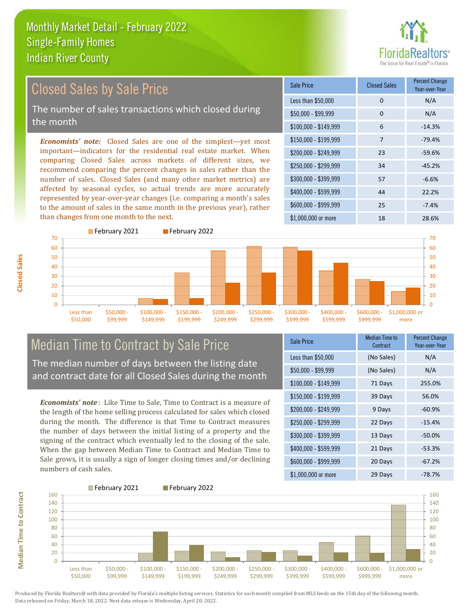# ealtors®

Year-over-Year

# Closed Sales by Sale Price

The number of sales transactions which closed during the month

*Economists' note:* Closed Sales are one of the simplest—yet most important—indicators for the residential real estate market. When comparing Closed Sales across markets of different sizes, we recommend comparing the percent changes in sales rather than the number of sales. Closed Sales (and many other market metrics) are affected by seasonal cycles, so actual trends are more accurately represented by year-over-year changes (i.e. comparing a month's sales to the amount of sales in the same month in the previous year), rather than changes from one month to the next.



# Median Time to Contract by Sale Price

The median number of days between the listing date and contract date for all Closed Sales during the month

*Economists' note* : Like Time to Sale, Time to Contract is a measure of the length of the home selling process calculated for sales which closed during the month. The difference is that Time to Contract measures the number of days between the initial listing of a property and the signing of the contract which eventually led to the closing of the sale. When the gap between Median Time to Contract and Median Time to Sale grows, it is usually a sign of longer closing times and/or declining numbers of cash sales.

| <b>Sale Price</b>     | Median Time to<br>Contract | <b>Percent Change</b><br>Year-over-Year |
|-----------------------|----------------------------|-----------------------------------------|
| Less than \$50,000    | (No Sales)                 | N/A                                     |
| \$50,000 - \$99,999   | (No Sales)                 | N/A                                     |
| $$100,000 - $149,999$ | 71 Days                    | 255.0%                                  |
| $$150,000 - $199,999$ | 39 Days                    | 56.0%                                   |
| \$200,000 - \$249,999 | 9 Days                     | $-60.9%$                                |
| \$250,000 - \$299,999 | 22 Days                    | $-15.4%$                                |
| \$300,000 - \$399,999 | 13 Days                    | $-50.0\%$                               |
| \$400,000 - \$599,999 | 21 Days                    | $-53.3%$                                |
| \$600,000 - \$999,999 | 20 Days                    | $-67.2%$                                |
| $$1,000,000$ or more  | 29 Days                    | $-78.7%$                                |

\$100,000 - \$149,999 6 -14.3%

Less than  $$50,000$  0 0 N/A \$50,000 - \$99,999 0 0 N/A

Sale Price Closed Sales Percent Change



\$150,000 - \$199,999 7 -79.4% \$200,000 - \$249,999 23 -59.6% \$400,000 - \$599,999 44 22.2% \$600,000 - \$999,999 25 -7.4% \$250,000 - \$299,999 34 -45.2% \$300,000 - \$399,999 57 -6.6%

February 2021 February 2022

Produced by Florida Realtors® with data provided by Florida's multiple listing services. Statistics for each month compiled from MLS feeds on the 15th day of the following month. Data released on Friday, March 18, 2022. Next data release is Wednesday, April 20, 2022.

**Median Time to Contract**

**Median Time to Contract**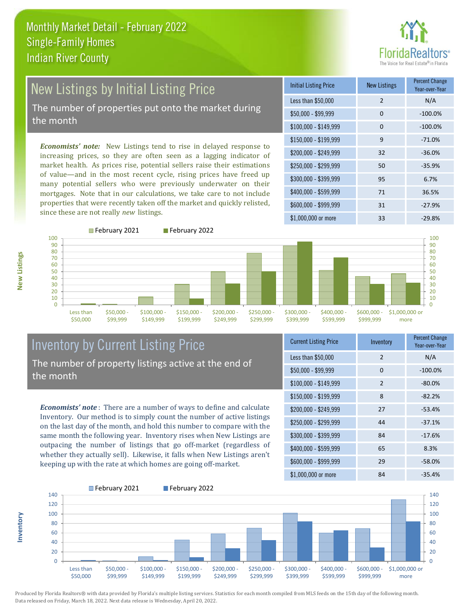# New Listings by Initial Listing Price

The number of properties put onto the market during the month

*Economists' note:* New Listings tend to rise in delayed response to increasing prices, so they are often seen as a lagging indicator of market health. As prices rise, potential sellers raise their estimations of value—and in the most recent cycle, rising prices have freed up many potential sellers who were previously underwater on their mortgages. Note that in our calculations, we take care to not include properties that were recently taken off the market and quickly relisted, since these are not really *new* listings.

| <b>Initial Listing Price</b> | <b>New Listings</b> | <b>Percent Change</b><br>Year-over-Year |
|------------------------------|---------------------|-----------------------------------------|
| Less than \$50,000           | $\overline{2}$      | N/A                                     |
| $$50,000 - $99,999$          | $\Omega$            | $-100.0%$                               |
| $$100,000 - $149,999$        | 0                   | $-100.0%$                               |
| $$150,000 - $199,999$        | 9                   | $-71.0%$                                |
| $$200,000 - $249,999$        | 32                  | $-36.0%$                                |
| \$250,000 - \$299,999        | 50                  | $-35.9%$                                |
| \$300,000 - \$399,999        | 95                  | 6.7%                                    |
| \$400,000 - \$599,999        | 71                  | 36.5%                                   |
| $$600,000 - $999,999$        | 31                  | $-27.9%$                                |
| $$1,000,000$ or more         | 33                  | $-29.8%$                                |





# Inventory by Current Listing Price The number of property listings active at the end of the month

\$50,000 - \$99,999

*Economists' note* : There are a number of ways to define and calculate Inventory. Our method is to simply count the number of active listings on the last day of the month, and hold this number to compare with the same month the following year. Inventory rises when New Listings are outpacing the number of listings that go off-market (regardless of whether they actually sell). Likewise, it falls when New Listings aren't keeping up with the rate at which homes are going off-market.

| <b>Current Listing Price</b> | Inventory     | <b>Percent Change</b><br>Year-over-Year |
|------------------------------|---------------|-----------------------------------------|
| Less than \$50,000           | 2             | N/A                                     |
| \$50,000 - \$99,999          | $\Omega$      | $-100.0%$                               |
| $$100,000 - $149,999$        | $\mathcal{P}$ | $-80.0%$                                |
| $$150,000 - $199,999$        | 8             | $-82.2%$                                |
| \$200,000 - \$249,999        | 27            | $-53.4%$                                |
| \$250,000 - \$299,999        | 44            | $-37.1%$                                |
| \$300,000 - \$399,999        | 84            | $-17.6%$                                |
| \$400,000 - \$599,999        | 65            | 8.3%                                    |
| \$600,000 - \$999,999        | 29            | $-58.0%$                                |
| $$1,000,000$ or more         | 84            | $-35.4%$                                |



Produced by Florida Realtors® with data provided by Florida's multiple listing services. Statistics for each month compiled from MLS feeds on the 15th day of the following month.

Data released on Friday, March 18, 2022. Next data release is Wednesday, April 20, 2022.

> Less than \$50,000

**Inventory**